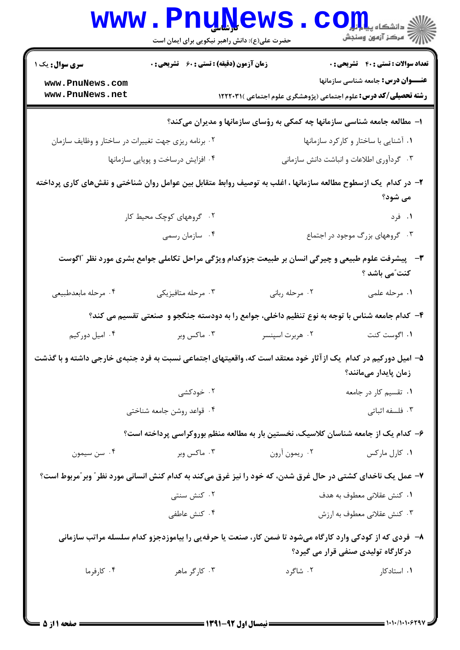|                                                                                                                                                 | <b>WWW.PNUNEWS</b><br>حضرت علی(ع): دانش راهبر نیکویی برای ایمان است                                           |                                                                                  | S <b>OIL</b><br>رُ⁄ آمرڪز آزمون وسنڊش        |  |
|-------------------------------------------------------------------------------------------------------------------------------------------------|---------------------------------------------------------------------------------------------------------------|----------------------------------------------------------------------------------|----------------------------------------------|--|
| <b>سری سوال :</b> یک ۱                                                                                                                          | <b>زمان آزمون (دقیقه) : تستی : 60 ٪ تشریحی : 0</b>                                                            |                                                                                  | <b>تعداد سوالات : تستی : 40 - تشریحی : .</b> |  |
| www.PnuNews.com                                                                                                                                 |                                                                                                               |                                                                                  | <b>عنـــوان درس:</b> جامعه شناسی سازمانها    |  |
| www.PnuNews.net                                                                                                                                 |                                                                                                               | <b>رشته تحصیلی/کد درس:</b> علوم اجتماعی (پژوهشگری علوم اجتماعی )۱۲۲۲۰۳۱ <b>۱</b> |                                              |  |
|                                                                                                                                                 |                                                                                                               | ا- مطالعه جامعه شناسی سازمانها چه کمکی به رؤسای سازمانها و مدیران میکند؟         |                                              |  |
| ۰۲ برنامه ریزی جهت تغییرات در ساختار و وظایف سازمان                                                                                             |                                                                                                               |                                                                                  | ۰۱ آشنایی با ساختار و کارکرد سازمانها        |  |
|                                                                                                                                                 | ۰۳ گردآوری اطلاعات و انباشت دانش سازمانی<br>۰۴ افزایش درساخت و پویایی سازمانها                                |                                                                                  |                                              |  |
|                                                                                                                                                 | ۲– در کدام یک ازسطوح مطالعه سازمانها ، اغلب به توصیف روابط متقابل بین عوامل روان شناختی و نقشهای کاری پرداخته |                                                                                  | می شود؟                                      |  |
|                                                                                                                                                 | ۰۲ گروههای کوچک محیط کار                                                                                      |                                                                                  | ۰۱ فرد                                       |  |
|                                                                                                                                                 | ۰۴ سازمان رسمي                                                                                                |                                                                                  | ۰۳ گروههای بزرگ موجود در اجتماع              |  |
| ۳- پیشرفت علوم طبیعی و چیرگی انسان بر طبیعت جزوکدام ویژگی مراحل تکاملی جوامع بشری مورد نظر "اگوست<br>كنت ّمى باشد ؟                             |                                                                                                               |                                                                                  |                                              |  |
| ۰۴ مرحله مابعدطبيعي                                                                                                                             | ۰۳ مرحله متافيزيكي                                                                                            | ۰۲ مرحله رباني                                                                   | ۰۱ مرحله علمی                                |  |
|                                                                                                                                                 | ۴- کدام جامعه شناس با توجه به نوع تنظیم داخلی، جوامع را به دودسته جنگجو و  صنعتی تقسیم می کند؟                |                                                                                  |                                              |  |
| ۰۴ امیل دورکیم                                                                                                                                  | ۰۳ ماکس وبر                                                                                                   | ۰۲ هربرت اسپنسر                                                                  | ۰۱ اگوست کنت                                 |  |
|                                                                                                                                                 | ۵– امیل دورکیم در کدام یک ازآثار خود معتقد است که، واقعیتهای اجتماعی نسبت به فرد جنبهی خارجی داشته و با گذشت  |                                                                                  | زمان پایدار میمانند؟                         |  |
|                                                                                                                                                 | ۰۲ خودکشی                                                                                                     |                                                                                  | ۰۱ تقسیم کار در جامعه                        |  |
|                                                                                                                                                 | ۰۴ قواعد روشن جامعه شناختی                                                                                    |                                                                                  | ۰۳ فلسفه اثباتی                              |  |
|                                                                                                                                                 | ۶– کدام یک از جامعه شناسان کلاسیک، نخستین بار به مطالعه منظم بوروکراسی پرداخته است؟                           |                                                                                  |                                              |  |
| ۰۴ سن سيمون                                                                                                                                     | ۰۳ ماکس وبر                                                                                                   | ۰۲ ريمون آرون                                                                    | ۰۱ کارل مارکس                                |  |
|                                                                                                                                                 | ۷- عمل یک ناخدای کشتی در حال غرق شدن، که خود را نیز غرق میکند به کدام کنش انسانی مورد نظر ؒ وبر ؒمربوط است؟   |                                                                                  |                                              |  |
|                                                                                                                                                 | ۰۲ کنش سنتی                                                                                                   |                                                                                  | ٠١ كنش عقلاني معطوف به هدف                   |  |
|                                                                                                                                                 | ۰۴ کنش عاطفی                                                                                                  |                                                                                  | ۰۳ کنش عقلانی معطوف به ارزش                  |  |
| ۸– ً فردی که از کودکی وارد کارگاه میشود تا ضمن کار، صنعت یا حرفهیی را بیاموزدجزو کدام سلسله مراتب سازمانی<br>درکارگاه تولیدی صنفی قرار می گیرد؟ |                                                                                                               |                                                                                  |                                              |  |
| ۰۴ کارفرما                                                                                                                                      | ۰۳ کارگر ماهر                                                                                                 | ۰۲ شاگرد                                                                         | ۰۱ استادکار                                  |  |
|                                                                                                                                                 |                                                                                                               |                                                                                  |                                              |  |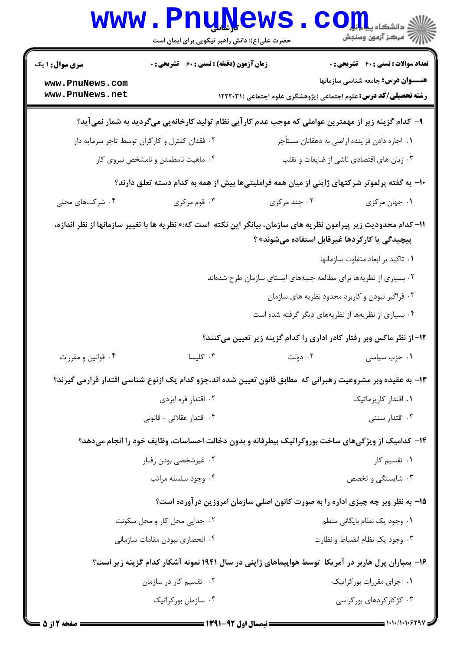|                                                                                                     | <b>www.PnuNews</b><br>حضرت علی(ع): دانش راهبر نیکویی برای ایمان است                            |                                                                                                                    | دانشگاه پیا <mark>م ایل</mark><br>(۶ مرکز آزمون وسنجش |
|-----------------------------------------------------------------------------------------------------|------------------------------------------------------------------------------------------------|--------------------------------------------------------------------------------------------------------------------|-------------------------------------------------------|
| <b>سری سوال : ۱ یک</b>                                                                              | <b>زمان آزمون (دقیقه) : تستی : 60 ٪ تشریحی : 0</b>                                             |                                                                                                                    | <b>تعداد سوالات : تستی : 40 ٪ تشریحی : 0</b>          |
| www.PnuNews.com<br>www.PnuNews.net                                                                  |                                                                                                | <b>رشته تحصیلی/کد درس:</b> علوم اجتماعی (پژوهشگری علوم اجتماعی )۱۲۲۲۰۳۱                                            | <b>عنـــوان درس:</b> جامعه شناسی سازمانها             |
|                                                                                                     |                                                                                                | ۹–  کدام گزینه زیر از مهمترین عواملی که موجب عدم کار آیی نظام تولید کارخانهیی میگردید به شمار <u>نمی</u> آید؟      |                                                       |
|                                                                                                     | ۰۲ فقدان کنترل و کارگران توسط تاجر سرمایه دار<br>۰۱ اجاره دادن فزاینده اراضی به دهقانان مستأجر |                                                                                                                    |                                                       |
|                                                                                                     | ۰۴ ماهیت نامطمئن و نامشخص نیروی کار                                                            |                                                                                                                    | ۰۳ زیان های اقتصادی ناشی از ضایعات و تقلب             |
|                                                                                                     |                                                                                                | ∙۱− به گفته پرلموتر شرکتهای ژاپنی از میان همه فراملیتیها بیش از همه به کدام دسته تعلق دارند؟                       |                                                       |
| ۰۴ شرکتهای محلی                                                                                     | ۰۳ قوم مرکزی                                                                                   | ۰۲ چند مرکزی                                                                                                       | ٠١. جهان مركزي                                        |
|                                                                                                     |                                                                                                | 11– کدام محدودیت زیر پیرامون نظریه های سازمان، بیانگر این نکته  است که:« نظریه ها با تغییر سازمانها از نظر اندازه، | پیچیدگی یا کارکردها غیرقابل استفاده میشوند» ؟         |
|                                                                                                     |                                                                                                |                                                                                                                    | ٠١ تاكيد بر ابعاد متفاوت سازمانها                     |
|                                                                                                     |                                                                                                | <sup>۲</sup> ۰ بسیاری از نظریهها برای مطالعه جنبههای ایستای سازمان طرح شدهاند                                      |                                                       |
|                                                                                                     |                                                                                                |                                                                                                                    | ۰۳ فراگیر نبودن و کاربرد محدود نظریه های سازمان       |
|                                                                                                     |                                                                                                |                                                                                                                    | ۰۴ بسیاری از نظریهها از نظریههای دیگر گرفته شده است   |
|                                                                                                     |                                                                                                | ۱۲– از نظر ماکس وبر رفتار کادر اداری را کدام گزینه زیر تعیین میکنند؟                                               |                                                       |
| ۰۴ قوانین و مقررات                                                                                  | $\mathcal{L}_{\text{total}}$ کلیسا                                                             | ۰۲ دولت                                                                                                            | ۰۱ حزب سیاسی                                          |
|                                                                                                     |                                                                                                | ۱۳– به عقیده وبر مشروعیت رهبرانی که ًطابق قانون تعیین شده اند،جزو کدام یک ازنوع شناسی اقتدار قرارمی گیرند؟         |                                                       |
|                                                                                                     | ۰۲ اقتدار فره ایزدی                                                                            |                                                                                                                    | ۰۱ اقتدار کاریزماتیک                                  |
|                                                                                                     | ۰۴ اقتدار عقلانی - قانونی                                                                      |                                                                                                                    | ۰۳ اقتدار سنتی                                        |
|                                                                                                     |                                                                                                | ۱۴- کدامیک از ویژگیهای ساخت بوروکراتیک بیطرفانه و بدون دخالت احساسات، وظایف خود را انجام میدهد؟                    |                                                       |
|                                                                                                     | ۰۲ غیرشخصی بودن رفتار                                                                          |                                                                                                                    | ۰۱ تقسیم کار                                          |
|                                                                                                     | ۰۴ وجود سلسله مراتب                                                                            |                                                                                                                    | ۰۳ شایستگی و تخصص                                     |
| ۱۵- به نظر وبر چه چیزی اداره را به صورت کانون اصلی سازمان امروزین درآورده است؟                      |                                                                                                |                                                                                                                    |                                                       |
|                                                                                                     | ۰۲ جدایی محل کار و محل سکونت                                                                   |                                                                                                                    | ٠١. وجود يک نظام بايگاني منظم                         |
|                                                                                                     | ۰۴ انحصاری نبودن مقامات سازمانی                                                                |                                                                                                                    | ۰۳ وجود یک نظام انضباط و نظارت                        |
| ۱۶– بمباران پرل هاربر در آمریکا ً توسط هواپیماهای ژاپنی در سال ۱۹۴۱ نمونه آشکار کدام گزینه زیر است؟ |                                                                                                |                                                                                                                    |                                                       |
|                                                                                                     | ۰۲ تقسیم کار در سازمان                                                                         |                                                                                                                    | ۰۱ اجرای مقررات بور کراتیک                            |
|                                                                                                     | ۰۴ سازمان بورکراتیک                                                                            |                                                                                                                    | ۰۳ کژ کار کردهای بور کراسی                            |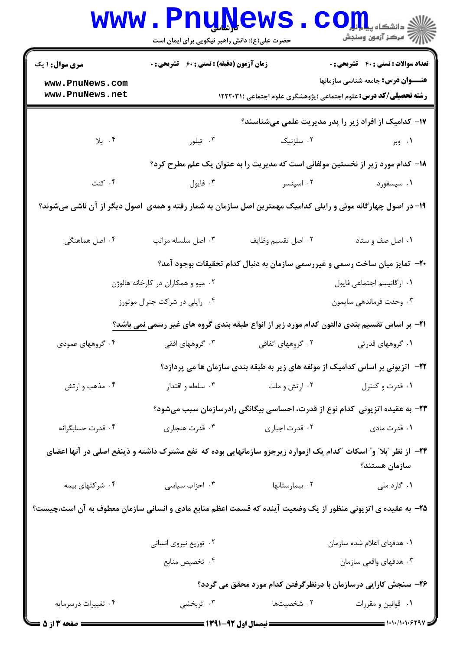|                                                                                                                                   | <b>www.PnuNews</b><br>حضرت علی(ع): دانش راهبر نیکویی برای ایمان است |                    | الله دانشکاه پیام <del>بر</del><br>الله عرکز آزمهن وسنجش                                                                      |  |
|-----------------------------------------------------------------------------------------------------------------------------------|---------------------------------------------------------------------|--------------------|-------------------------------------------------------------------------------------------------------------------------------|--|
| <b>سری سوال : ۱ یک</b>                                                                                                            | زمان آزمون (دقیقه) : تستی : 60 ٪ تشریحی : 0                         |                    | <b>تعداد سوالات : تستی : 40 - تشریحی : .</b>                                                                                  |  |
| www.PnuNews.com<br>www.PnuNews.net                                                                                                |                                                                     |                    | <b>عنـــوان درس:</b> جامعه شناسی سازمانها<br><b>رشته تحصیلی/کد درس:</b> علوم اجتماعی (پژوهشگری علوم اجتماعی )۱۲۲۲۰۳۱ <b>۱</b> |  |
|                                                                                                                                   |                                                                     |                    |                                                                                                                               |  |
|                                                                                                                                   |                                                                     |                    | ۱۷– کدامیک از افراد زیر را پدر مدیریت علمی میشناسند؟                                                                          |  |
| ۰۴ بلا                                                                                                                            | ۰۳ تیلور                                                            | ۰۲ سلزنیک          | ۰۱ وبر                                                                                                                        |  |
|                                                                                                                                   |                                                                     |                    | <b>۱۸</b> - کدام مورد زیر از نخستین مولفانی است که مدیریت را به عنوان یک علم مطرح کرد؟                                        |  |
| ۰۴ کنت                                                                                                                            | ۰۳ فايول                                                            | ۰۲ اسپنسر          | ۰۱ سپسفورد                                                                                                                    |  |
| ۱۹– در اصول چهارگانه موئی و رایلی کدامیک مهمترین اصل سازمان به شمار رفته و همهی  اصول دیگر از آن ناشی میشوند؟                     |                                                                     |                    |                                                                                                                               |  |
| ۰۴ اصل هماهنگی                                                                                                                    | ۰۳ اصل سلسله مراتب                                                  | ٠٢ اصل تقسيم وظايف | ۰۱ اصل صف و ستاد                                                                                                              |  |
|                                                                                                                                   |                                                                     |                    | +۲- تمایز میان ساخت رسمی و غیررسمی سازمان به دنبال کدام تحقیقات بوجود آمد؟                                                    |  |
|                                                                                                                                   | ۰۲ میو و همکاران در کارخانه هالوژن                                  |                    | ٠١ اركانيسم اجتماعي فايول                                                                                                     |  |
|                                                                                                                                   | ۰۴ رايلي در شركت جنرال موتورز                                       |                    | ۰۳ وحدت فرماندهي سايمون                                                                                                       |  |
| <b>۲۱</b> - بر اساس تقسیم بندی دالتون کدام مورد زیر از انواع طبقه بندی گروه های غیر رسمی نمی باشد؟                                |                                                                     |                    |                                                                                                                               |  |
| ۰۴ گروههای عمودی                                                                                                                  | ۰۳ گروههای افقی                                                     | ۰۲ گروههای اتفاقی  | ۰۱ گروههای قدرتی                                                                                                              |  |
|                                                                                                                                   |                                                                     |                    | <b>۲۲</b> - اتزیونی بر اساس کدامیک از مولفه های زیر به طبقه بندی سازمان ها می پردازد؟                                         |  |
| ۰۴ مذهب و ارتش                                                                                                                    | ۰۳ سلطه و اقتدار                                                    | ۰۲ ارتش و ملت      | ۰۱ قدرت و کنترل                                                                                                               |  |
|                                                                                                                                   |                                                                     |                    | ۲۳– به عقیده اتزیونی کدام نوع از قدرت، احساسی بیگانگی رادرسازمان سبب میشود؟                                                   |  |
| ۰۴ قدرت حسابگرانه                                                                                                                 | ۰۳ قدرت هنجاري                                                      | ٠٢ قدرت اجباري     | ۰۱ قدرت مادی                                                                                                                  |  |
| ۲۴– از نظر "بلا" و" اسکات "کدام یک ازموارد زیرجزو سازمانهایی بوده که  نفع مشترک داشته و ذینفع اصلی در آنها اعضای<br>سازمان هستند؟ |                                                                     |                    |                                                                                                                               |  |
| ۰۴ شرکتهای بیمه                                                                                                                   | ۰۳ احزاب سیاسی                                                      | ۰۲ بیمارستانها     | ۰۱ گارد ملی                                                                                                                   |  |
| ۲۵– به عقیده ی اتزیونی منظور از یک وضعیت آینده که قسمت اعظم منابع مادی و انسانی سازمان معطوف به آن است،چیست؟                      |                                                                     |                    |                                                                                                                               |  |
|                                                                                                                                   | ۰۲ توزیع نیروی انسانی                                               |                    | ۰۱ هدفهای اعلام شده سازمان                                                                                                    |  |
|                                                                                                                                   | ۰۴ تخصیص منابع                                                      |                    | ۰۳ هدفهای واقعی سازمان                                                                                                        |  |
|                                                                                                                                   |                                                                     |                    | ۲۶– سنجش کارایی درسازمان با درنظرگرفتن کدام مورد محقق می گردد؟                                                                |  |
| ۰۴ تغییرات درسرمایه                                                                                                               | ۰۳ اثربخشی                                                          | ۰۲ شخصیتها         | ۰۱ قوانین و مقررات                                                                                                            |  |
| ــــ صفحه 3 از 5                                                                                                                  |                                                                     |                    |                                                                                                                               |  |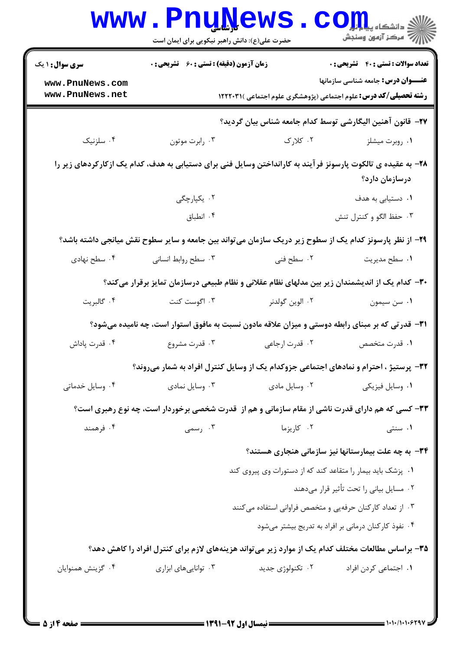| <b>سری سوال : ۱ یک</b>             | <b>زمان آزمون (دقیقه) : تستی : 60 ٪ تشریحی : 0</b> |                                                                                                              | <b>تعداد سوالات : تستی : 40 - تشریحی : 0</b>         |
|------------------------------------|----------------------------------------------------|--------------------------------------------------------------------------------------------------------------|------------------------------------------------------|
| www.PnuNews.com<br>www.PnuNews.net |                                                    | <b>رشته تحصیلی/کد درس:</b> علوم اجتماعی (پژوهشگری علوم اجتماعی )۱۲۲۲۰۳۱ <b>۱</b>                             | <b>عنـــوان درس:</b> جامعه شناسی سازمانها            |
|                                    |                                                    | ٢٧- قانون آهنين اليگارشي توسط كدام جامعه شناس بيان گرديد؟                                                    |                                                      |
| ۰۴ سلزنیک                          | ۰۳ رابرت موتون                                     | ۰۲ کلارک                                                                                                     | ۰۱ روبرت میشلز                                       |
|                                    |                                                    | ۲۸– به عقیده ی تالکوت پارسونز فرآیند به کارانداختن وسایل فنی برای دستیابی به هدف، کدام یک ازکارکردهای زیر را | درسازمان دارد؟                                       |
|                                    | ۰۲ يکپارچگى                                        |                                                                                                              | <b>۱.</b> دستیابی به هدف                             |
|                                    | ۰۴ انطباق                                          |                                                                                                              | ۰۳ حفظ الگو و کنترل تنش                              |
|                                    |                                                    | ۲۹– از نظر پارسونز کدام یک از سطوح زیر دریک سازمان میتواند بین جامعه و سایر سطوح نقش میانجی داشته باشد؟      |                                                      |
| ۰۴ سطح نهادی                       | ۰۳ سطح روابط انسانی                                | ۰۲ سطح فنی                                                                                                   | ٠١ سطح مديريت                                        |
|                                    |                                                    | ۳۰– کدام یک از اندیشمندان زیر بین مدلهای نظام عقلانی و نظام طبیعی درسازمان تمایز برقرار میکند؟               |                                                      |
| ۰۴ گالبريت                         | ۰۳ اگوست کنت                                       | ۰۲ الوين گولدنر                                                                                              | ۰۱ سن سیمون                                          |
|                                    |                                                    | ۳۱– قدرتی که بر مبنای رابطه دوستی و میزان علاقه مادون نسبت به مافوق استوار است، چه نامیده میشود؟             |                                                      |
| ۰۴ قدرت پاداش                      | ۰۳ قدرت مشروع                                      | ۰۲ قدرت ارجاعی                                                                                               | ٠١ قدرت متخصص                                        |
|                                    |                                                    | 33- پرستیژ ، احترام و نمادهای اجتماعی جزوکدام یک از وسایل کنترل افراد به شمار میروند؟                        |                                                      |
| ۰۴ وسایل خدماتی                    | ۰۳ وسایل نمادی                                     | ۰۲ وسایل مادی                                                                                                | ۰۱ وسایل فیزیکی                                      |
|                                    |                                                    | ۳۳- کسی که هم دارای قدرت ناشی از مقام سازمانی و هم از قدرت شخصی برخوردار است، چه نوع رهبری است؟              |                                                      |
| ۰۴ فرهمند                          | ۰۳ رسمی                                            | ۰۲ کاریزما                                                                                                   | ۰۱ سنتی                                              |
|                                    |                                                    |                                                                                                              | ۳۴- به چه علت بیمارستانها نیز سازمانی هنجاری هستند؟  |
|                                    |                                                    | ۰۱ پزشک باید بیمار را متقاعد کند که از دستورات وی پیروی کند                                                  |                                                      |
|                                    |                                                    |                                                                                                              | ۰۲ مسایل بیانی را تحت تأثیر قرار میدهند              |
|                                    |                                                    | ۰۳ از تعداد کارکنان حرفهیی و متخصص فراوانی استفاده میکنند                                                    |                                                      |
|                                    |                                                    |                                                                                                              | ۰۴ نفوذ کارکنان درمانی بر افراد به تدریج بیشتر میشود |
|                                    |                                                    | ۳۵- براساس مطالعات مختلف کدام یک از موارد زیر میتواند هزینههای لازم برای کنترل افراد را کاهش دهد؟            |                                                      |
| ۰۴ گزينش همنوايان                  | ۰۳ تواناییهای ابزاری                               | ۰۲ تکنولوژی جدید                                                                                             | ۰۱ اجتماعی کردن افراد                                |